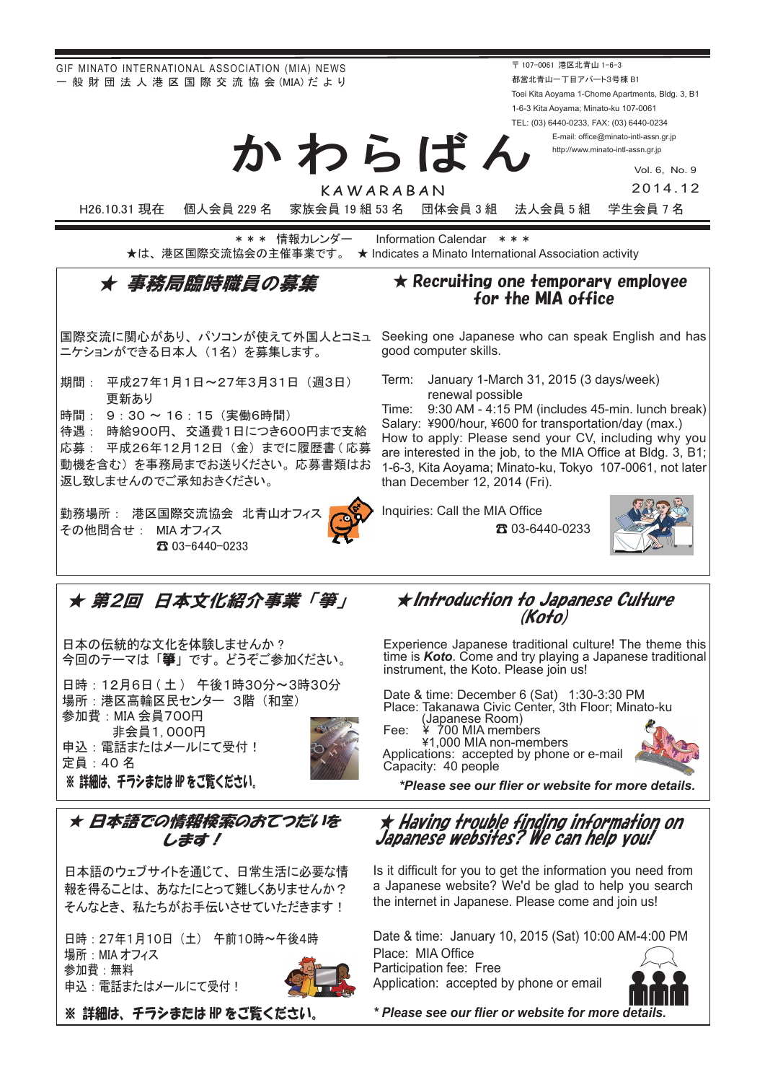GIF MINATO INTERNATIONAL ASSOCIATION (MIA) NEWS - 般 財 団 法 人 港 区 国 際 交 流 協 会 (MIA) だ よ り

〒 107-0061 港区北青山 1-6-3 都営北青山一丁目アパート3号棟 B1 Toei Kita Aoyama 1-Chome Apartments, Bldg. 3, B1 1-6-3 Kita Aoyama; Minato-ku 107-0061 TEL: (03) 6440-0233, FAX: (03) 6440-0234

> E-mail: office@minato-intl-assn.gr.jp http://www.minato-intl-assn.gr.jp

> > Vol. 6, No. 9 2014.12

KAWARABAN

かわらばん

H26.10.31 現在 個人会員 229 名 家族会員 19 組 53 名 団体会員 3 組 法人会員 5 組 学生会員 7 名

\* \* \* 情報カレンダー Information Calendar \* \* \* ★は、港区国際交流協会の主催事業です。 ★ Indicates a Minato International Association activity

## ★ 事務局臨時職員の募集

ニケションができる日本人 (1名) を募集します。

- 期間: 平成27年1月1日~27年3月31日 (週3日) 更新あり
- 時間: 9:30 ~ 16:15 (実働6時間)

待遇: 時給900円、交通費1日につき600円まで支給 応募: 平成26年12月12日 (金) までに履歴書 (応募 動機を含む)を事務局までお送りください。応募書類はお 返し致しませんのでご承知おきください。

勤務場所: 港区国際交流協会 北青山オフィ その他問合せ: MIA オフィス 03-6440-0233 ☎



for the MIA office

 $\star$  Recruiting one temporary employee

国際交流に関心があり、パソコンが使えて外国人とコミュ Seeking one Japanese who can speak English and has good computer skills.

> Term: January 1-March 31, 2015 (3 days/week) renewal possible

Time:  $9:30$  AM - 4:15 PM (includes 45-min. lunch break) Salary: ¥900/hour, ¥600 for transportation/day (max.) How to apply: Please send your CV, including why you are interested in the job, to the MIA Office at Bldg. 3, B1; 1-6-3, Kita Aoyama; Minato-ku, Tokyo 107-0061, not later than December 12, 2014 (Fri).

Inquiries: Call the MIA Office

03-6440-0233 ☎



★ 第2回 日本文化紹介事業「箏」

日本の伝統的な文化を体験しませんか? 今回のテーマは「篳」です。どうぞご参加ください。

日時: 12月6日 (土) 午後1時30分~3時30分 場所: 港区高輪区民センター 3階 (和室) 参加費:MIA 会員700円 非会員1,000円 申込 : 電話またはメールにて受付 ! 定員: 40 名 ※ 詳細は、 チラシまたは HP をご覧ください。



★ Introduction to Japanese Culture (Koło)

Experience Japanese traditional culture! The theme this time is **Koto**. Come and try playing a Japanese traditional instrument, the Koto. Please join us!

Date & time: December 6 (Sat) 1:30-3:30 PM Place: Takanawa Civic Center, 3th Floor; Minato-ku members-non-minal control (Japanese Room)<br>Fee:  $\frac{4}{100}$  700 MIA members<br> $\frac{41,000 \text{ MIA non-members}}{41,000 \text{ MIA}}$ 

Applications: accepted by phone or e-mail Capacity: 40 people



*.details more for website or flier our see Please \**

### ★ 日本語での情報検索のおてつだいを します!

日本語のウェブサイトを通じて、日常生活に必要な情 報を得ることは、あなたにとって難しくありませんか? そんなとき、私たちがお手伝いさせていただきます!

日時: 27年1月10日 (土) 午前10時~午後4時 場所: MIA オフィス 参加費:無料 申込: 電話またはメールにて受付!



※ 詳細は、 チラシまたは HP をご覧ください。

★ Having trouble finding information on Japanese websites? We can help you!

Is it difficult for you to get the information you need from a Japanese website? We'd be glad to help you search the internet in Japanese. Please come and join us!

Date & time: January 10, 2015 (Sat) 10:00 AM-4:00 PM Place: MIA Office

Participation fee: Free Application: accepted by phone or email



*.details more for website or flier our see Please\**